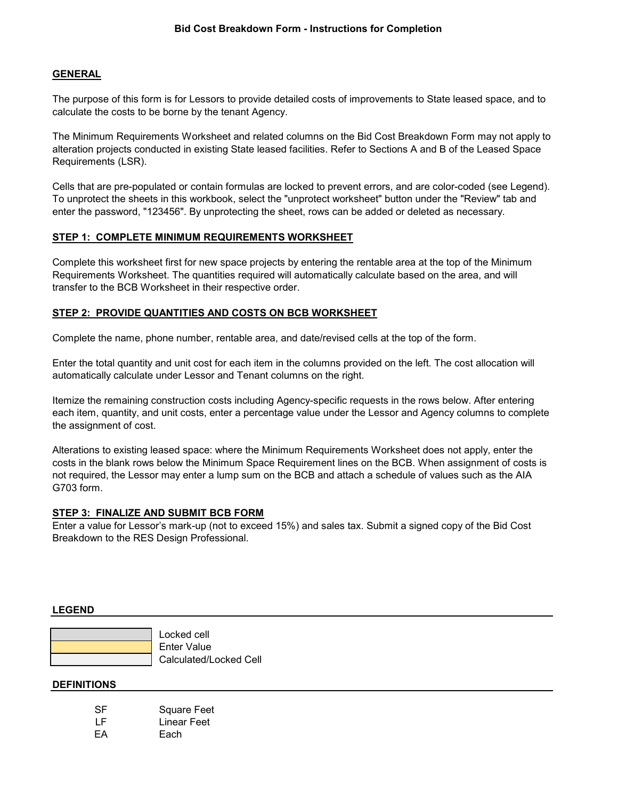## **GENERAL**

The purpose of this form is for Lessors to provide detailed costs of improvements to State leased space, and to calculate the costs to be borne by the tenant Agency.

The Minimum Requirements Worksheet and related columns on the Bid Cost Breakdown Form may not apply to alteration projects conducted in existing State leased facilities. Refer to Sections A and B of the Leased Space Requirements (LSR).

Cells that are pre-populated or contain formulas are locked to prevent errors, and are color-coded (see Legend). To unprotect the sheets in this workbook, select the "unprotect worksheet" button under the "Review" tab and enter the password, "123456". By unprotecting the sheet, rows can be added or deleted as necessary.

### **STEP 1: COMPLETE MINIMUM REQUIREMENTS WORKSHEET**

Complete this worksheet first for new space projects by entering the rentable area at the top of the Minimum Requirements Worksheet. The quantities required will automatically calculate based on the area, and will transfer to the BCB Worksheet in their respective order.

## **STEP 2: PROVIDE QUANTITIES AND COSTS ON BCB WORKSHEET**

Complete the name, phone number, rentable area, and date/revised cells at the top of the form.

Enter the total quantity and unit cost for each item in the columns provided on the left. The cost allocation will automatically calculate under Lessor and Tenant columns on the right.

Itemize the remaining construction costs including Agency-specific requests in the rows below. After entering each item, quantity, and unit costs, enter a percentage value under the Lessor and Agency columns to complete the assignment of cost.

Alterations to existing leased space: where the Minimum Requirements Worksheet does not apply, enter the costs in the blank rows below the Minimum Space Requirement lines on the BCB. When assignment of costs is not required, the Lessor may enter a lump sum on the BCB and attach a schedule of values such as the AIA G703 form.

### **STEP 3: FINALIZE AND SUBMIT BCB FORM**

Enter a value for Lessor's mark-up (not to exceed 15%) and sales tax. Submit a signed copy of the Bid Cost Breakdown to the RES Design Professional.

#### **LEGEND**

| Locked cell            |
|------------------------|
| <b>Enter Value</b>     |
| Calculated/Locked Cell |

#### **DEFINITIONS**

| <b>SF</b> | <b>Square Feet</b> |
|-----------|--------------------|
| LF        | Linear Feet        |
| EA        | Each               |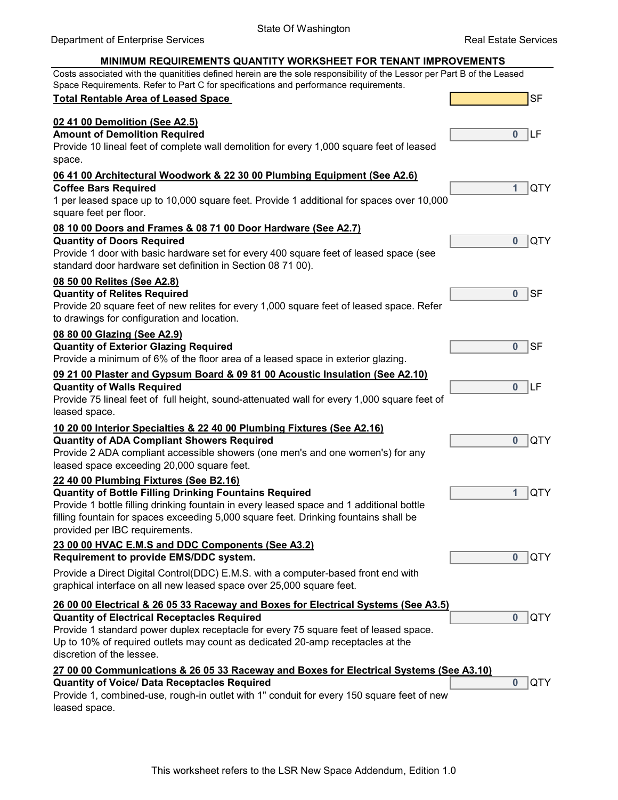#### Department of Enterprise Services SF **0** LF **1** QTY **0** QTY **0** SF **0** SF **0** LF **0** QTY **1** QTY **0** QTY **0** QTY **0** QTY Provide 10 lineal feet of complete wall demolition for every 1,000 square feet of leased space. **06 41 00 Architectural Woodwork & 22 30 00 Plumbing Equipment (See A2.6) Coffee Bars Required** 1 per leased space up to 10,000 square feet. Provide 1 additional for spaces over 10,000 square feet per floor. **08 10 00 Doors and Frames & 08 71 00 Door Hardware (See A2.7) MINIMUM REQUIREMENTS QUANTITY WORKSHEET FOR TENANT IMPROVEMENTS Total Rentable Area of Leased Space 02 41 00 Demolition (See A2.5) Amount of Demolition Required** Provide 20 square feet of new relites for every 1,000 square feet of leased space. Refer to drawings for configuration and location. **08 80 00 Glazing (See A2.9) Quantity of Exterior Glazing Required** Provide a minimum of 6% of the floor area of a leased space in exterior glazing. **09 21 00 Plaster and Gypsum Board & 09 81 00 Acoustic Insulation (See A2.10) Quantity of Doors Required** Provide 1 door with basic hardware set for every 400 square feet of leased space (see standard door hardware set definition in Section 08 71 00). **08 50 00 Relites (See A2.8) Quantity of Relites Required** Provide 2 ADA compliant accessible showers (one men's and one women's) for any leased space exceeding 20,000 square feet. **22 40 00 Plumbing Fixtures (See B2.16) Quantity of Bottle Filling Drinking Fountains Required 26 00 00 Electrical & 26 05 33 Raceway and Boxes for Electrical Systems (See A3.5) Quantity of Walls Required** Provide 75 lineal feet of full height, sound-attenuated wall for every 1,000 square feet of leased space. **10 20 00 Interior Specialties & 22 40 00 Plumbing Fixtures (See A2.16) Quantity of ADA Compliant Showers Required** Costs associated with the quanitities defined herein are the sole responsibility of the Lessor per Part B of the Leased Space Requirements. Refer to Part C for specifications and performance requirements. Provide 1 standard power duplex receptacle for every 75 square feet of leased space. Up to 10% of required outlets may count as dedicated 20-amp receptacles at the discretion of the lessee. Provide 1 bottle filling drinking fountain in every leased space and 1 additional bottle filling fountain for spaces exceeding 5,000 square feet. Drinking fountains shall be provided per IBC requirements. **23 00 00 HVAC E.M.S and DDC Components (See A3.2) Requirement to provide EMS/DDC system.** Provide a Direct Digital Control(DDC) E.M.S. with a computer-based front end with graphical interface on all new leased space over 25,000 square feet. **Quantity of Electrical Receptacles Required 27 00 00 Communications & 26 05 33 Raceway and Boxes for Electrical Systems (See A3.10) Quantity of Voice/ Data Receptacles Required**

Provide 1, combined-use, rough-in outlet with 1" conduit for every 150 square feet of new leased space.